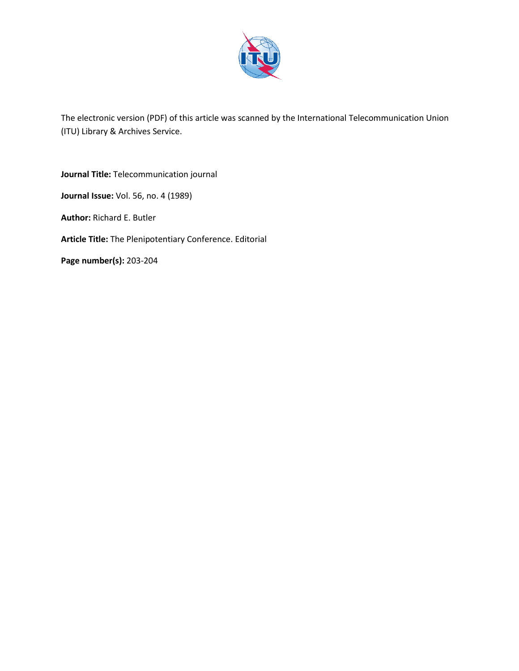

The electronic version (PDF) of this article was scanned by the International Telecommunication Union (ITU) Library & Archives Service.

**Journal Title:** Telecommunication journal **Journal Issue:** Vol. 56, no. 4 (1989) **Author:** Richard E. Butler **Article Title:** The Plenipotentiary Conference. Editorial **Page number(s):** 203-204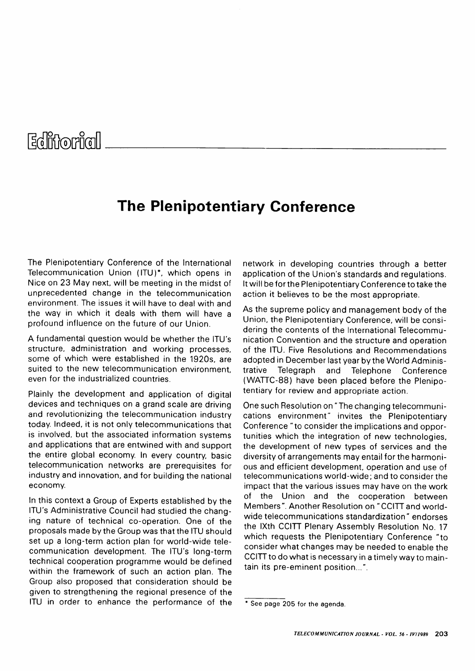Editionicall

## **The Plenipotentiary Conference**

The Plenipotentiary Conference of the International Telecommunication Union (ITU)\*, which opens in Nice on 23 May next, will be meeting in the midst of unprecedented change in the telecommunication environment. The issues it will have to deal with and the way in which it deals with them will have a profound influence on the future of our Union.

A fundamental question would be whether the ITU's structure, administration and working processes, some of which were established in the 1920s, are suited to the new telecommunication environment. even for the industrialized countries.

Plainly the development and application of digital devices and techniques on a grand scale are driving and revolutionizing the telecommunication industry today. Indeed, it is not only telecommunications that is involved, but the associated information systems and applications that are entwined with and support the entire global economy. In every country, basic telecommunication networks are prerequisites for industry and innovation, and for building the national economy.

In this context a Group of Experts established by the ITU's Administrative Council had studied the changing nature of technical co-operation. One of the proposals made by the Group was that the ITU should set up a long-term action plan for world-wide telecommunication development. The ITU's long-term technical cooperation programme would be defined within the framework of such an action plan. The Group also proposed that consideration should be given to strengthening the regional presence of the ITU in order to enhance the performance of the network in developing countries through a better application of the Union's standards and regulations. It will be for the Plenipotentiary Conference to take the action it believes to be the most appropriate.

As the supreme policy and management body of the Union, the Plenipotentiary Conference, will be considering the contents of the International Telecommunication Convention and the structure and operation of the ITU. Five Resolutions and Recommendations adopted in December last year by the World Administrative Telegraph and Telephone Conference (WATTC-88) have been placed before the Plenipotentiary for review and appropriate action.

One such Resolution on "The changing telecommunications environment" invites the Plenipotentiary Conference "to consider the implications and opportunities which the integration of new technologies, the development of new types of services and the diversity of arrangements may entail for the harmonious and efficient development, operation and use of telecommunications world-wide; and to consider the impact that the various issues may have on the work of the Union and the cooperation between Members". Another Resolution on " CCITT and worldwide telecommunications standardization" endorses the IXth CCITT Plenary Assembly Resolution No. 17 which requests the Plenipotentiary Conference "to consider what changes may be needed to enable the CCITT to do what is necessary in a timely way to maintain its pre-eminent position...".

<sup>\*</sup> See page 205 for the agenda.